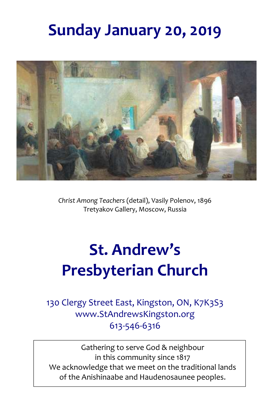## **Sunday January 20, 2019**



*Christ Among Teachers* (detail), Vasily Polenov, 1896 Tretyakov Gallery, Moscow, Russia

# **St. Andrew's Presbyterian Church**

130 Clergy Street East, Kingston, ON, K7K3S3 www.StAndrewsKingston.org 613-546-6316

 of the Anishinaabe and Haudenosaunee peoples.Gathering to serve God & neighbour in this community since 1817 We acknowledge that we meet on the traditional lands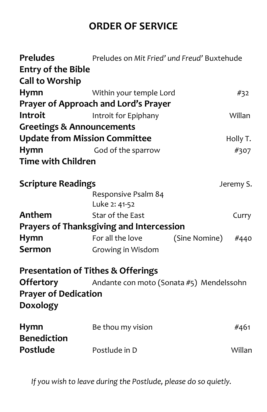## **ORDER OF SERVICE**

| Preludes<br><b>Entry of the Bible</b><br><b>Call to Worship</b> | Preludes on Mit Fried' und Freud' Buxtehude     |               |           |
|-----------------------------------------------------------------|-------------------------------------------------|---------------|-----------|
| Hymn                                                            | Within your temple Lord                         |               | #32       |
|                                                                 | Prayer of Approach and Lord's Prayer            |               |           |
| <b>Introit</b>                                                  | Introit for Epiphany                            |               | Willan    |
| <b>Greetings &amp; Announcements</b>                            |                                                 |               |           |
|                                                                 | <b>Update from Mission Committee</b>            |               | Holly T.  |
| <b>Hymn</b>                                                     | God of the sparrow                              |               | #307      |
| <b>Time with Children</b>                                       |                                                 |               |           |
| <b>Scripture Readings</b>                                       |                                                 |               | Jeremy S. |
|                                                                 | Responsive Psalm 84                             |               |           |
|                                                                 | Luke 2: 41-52                                   |               |           |
| Anthem                                                          | Star of the East                                |               | Curry     |
|                                                                 | <b>Prayers of Thanksgiving and Intercession</b> |               |           |
| Hymn                                                            | For all the love                                | (Sine Nomine) | #440      |
| <b>Sermon</b>                                                   | Growing in Wisdom                               |               |           |
|                                                                 | <b>Presentation of Tithes &amp; Offerings</b>   |               |           |
| <b>Offertory</b>                                                | Andante con moto (Sonata #5) Mendelssohn        |               |           |
| <b>Prayer of Dedication</b>                                     |                                                 |               |           |
| <b>Doxology</b>                                                 |                                                 |               |           |
| <b>Hymn</b><br><b>Benediction</b>                               | Be thou my vision                               |               | #461      |
| <b>Postlude</b>                                                 | Postlude in D                                   |               | Willan    |
|                                                                 |                                                 |               |           |

*If you wish to leave during the Postlude, please do so quietly.*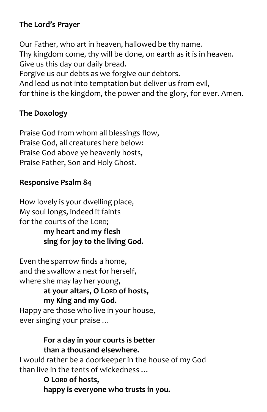## **The Lord's Prayer**

Our Father, who art in heaven, hallowed be thy name. Thy kingdom come, thy will be done, on earth as it is in heaven. Give us this day our daily bread. Forgive us our debts as we forgive our debtors. And lead us not into temptation but deliver us from evil, for thine is the kingdom, the power and the glory, for ever. Amen.

#### **The Doxology**

Praise God from whom all blessings flow, Praise God, all creatures here below: Praise God above ye heavenly hosts, Praise Father, Son and Holy Ghost.

#### **Responsive Psalm 84**

How lovely is your dwelling place, My soul longs, indeed it faints for the courts of the LORD;

> **my heart and my flesh sing for joy to the living God.**

Even the sparrow finds a home, and the swallow a nest for herself, where she may lay her young,

> **at your altars, O LORD of hosts, my King and my God.**

Happy are those who live in your house, ever singing your praise …

#### **For a day in your courts is better than a thousand elsewhere.**

I would rather be a doorkeeper in the house of my God than live in the tents of wickedness …

> **O LORD of hosts, happy is everyone who trusts in you.**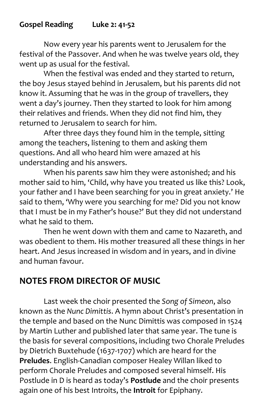## **Gospel Reading Luke 2: 41-52**

Now every year his parents went to Jerusalem for the festival of the Passover. And when he was twelve years old, they went up as usual for the festival.

When the festival was ended and they started to return, the boy Jesus stayed behind in Jerusalem, but his parents did not know it. Assuming that he was in the group of travellers, they went a day's journey. Then they started to look for him among their relatives and friends. When they did not find him, they returned to Jerusalem to search for him.

After three days they found him in the temple, sitting among the teachers, listening to them and asking them questions. And all who heard him were amazed at his understanding and his answers.

When his parents saw him they were astonished; and his mother said to him, 'Child, why have you treated us like this? Look, your father and I have been searching for you in great anxiety.' He said to them, 'Why were you searching for me? Did you not know that I must be in my Father's house?' But they did not understand what he said to them.

Then he went down with them and came to Nazareth, and was obedient to them. His mother treasured all these things in her heart. And Jesus increased in wisdom and in years, and in divine and human favour.

## **NOTES FROM DIRECTOR OF MUSIC**

Last week the choir presented the *Song of Simeon*, also known as the *Nunc Dimittis*. A hymn about Christ's presentation in the temple and based on the Nunc Dimittis was composed in 1524 by Martin Luther and published later that same year. The tune is the basis for several compositions, including two Chorale Preludes by Dietrich Buxtehude (1637-1707) which are heard for the **Preludes**. English-Canadian composer Healey Willan liked to perform Chorale Preludes and composed several himself. His Postlude in D is heard as today's **Postlude** and the choir presents again one of his best Introits, the **Introit** for Epiphany.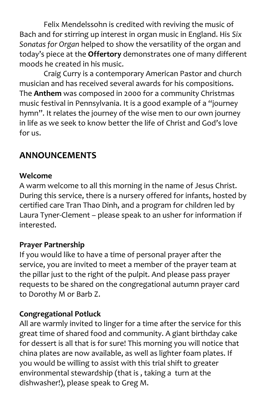Felix Mendelssohn is credited with reviving the music of Bach and for stirring up interest in organ music in England. His *Six Sonatas for Organ* helped to show the versatility of the organ and today's piece at the **Offertory** demonstrates one of many different moods he created in his music.

Craig Curry is a contemporary American Pastor and church musician and has received several awards for his compositions. The **Anthem** was composed in 2000 for a community Christmas music festival in Pennsylvania. It is a good example of a "journey hymn". It relates the journey of the wise men to our own journey in life as we seek to know better the life of Christ and God's love for us.

## **ANNOUNCEMENTS**

#### **Welcome**

A warm welcome to all this morning in the name of Jesus Christ. During this service, there is a nursery offered for infants, hosted by certified care Tran Thao Dinh, and a program for children led by Laura Tyner-Clement – please speak to an usher for information if interested.

#### **Prayer Partnership**

If you would like to have a time of personal prayer after the service, you are invited to meet a member of the prayer team at the pillar just to the right of the pulpit. And please pass prayer requests to be shared on the congregational autumn prayer card to Dorothy M or Barb Z.

#### **Congregational Potluck**

All are warmly invited to linger for a time after the service for this great time of shared food and community. A giant birthday cake for dessert is all that is for sure! This morning you will notice that china plates are now available, as well as lighter foam plates. If you would be willing to assist with this trial shift to greater environmental stewardship (that is , taking a turn at the dishwasher!), please speak to Greg M.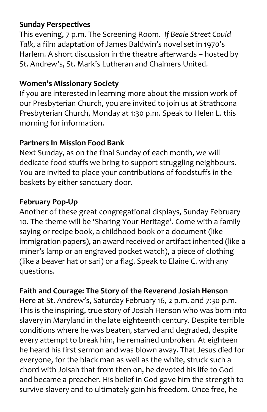## **Sunday Perspectives**

This evening, 7 p.m. The Screening Room. *If Beale Street Could Talk*, a film adaptation of James Baldwin's novel set in 1970's Harlem. A short discussion in the theatre afterwards – hosted by St. Andrew's, St. Mark's Lutheran and Chalmers United.

## **Women's Missionary Society**

If you are interested in learning more about the mission work of our Presbyterian Church, you are invited to join us at Strathcona Presbyterian Church, Monday at 1:30 p.m. Speak to Helen L. this morning for information.

## **Partners In Mission Food Bank**

Next Sunday, as on the final Sunday of each month, we will dedicate food stuffs we bring to support struggling neighbours. You are invited to place your contributions of foodstuffs in the baskets by either sanctuary door.

## **February Pop-Up**

Another of these great congregational displays, Sunday February 10. The theme will be 'Sharing Your Heritage'. Come with a family saying or recipe book, a childhood book or a document (like immigration papers), an award received or artifact inherited (like a miner's lamp or an engraved pocket watch), a piece of clothing (like a beaver hat or sari) or a flag. Speak to Elaine C. with any questions.

## **Faith and Courage: The Story of the Reverend Josiah Henson**

Here at St. Andrew's, Saturday February 16, 2 p.m. and 7:30 p.m. This is the inspiring, true story of Josiah Henson who was born into slavery in Maryland in the late eighteenth century. Despite terrible conditions where he was beaten, starved and degraded, despite every attempt to break him, he remained unbroken. At eighteen he heard his first sermon and was blown away. That Jesus died for everyone, for the black man as well as the white, struck such a chord with Joisah that from then on, he devoted his life to God and became a preacher. His belief in God gave him the strength to survive slavery and to ultimately gain his freedom. Once free, he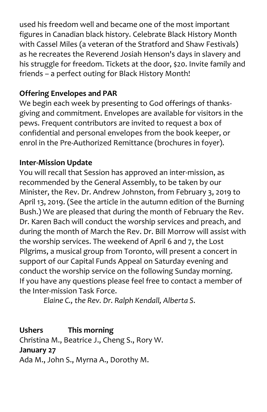used his freedom well and became one of the most important figures in Canadian black history. Celebrate Black History Month with Cassel Miles (a veteran of the Stratford and Shaw Festivals) as he recreates the Reverend Josiah Henson's days in slavery and his struggle for freedom. Tickets at the door, \$20. Invite family and friends – a perfect outing for Black History Month!

## **Offering Envelopes and PAR**

We begin each week by presenting to God offerings of thanksgiving and commitment. Envelopes are available for visitors in the pews. Frequent contributors are invited to request a box of confidential and personal envelopes from the book keeper, or enrol in the Pre-Authorized Remittance (brochures in foyer).

## **Inter-Mission Update**

You will recall that Session has approved an inter-mission, as recommended by the General Assembly, to be taken by our Minister, the Rev. Dr. Andrew Johnston, from February 3, 2019 to April 13, 2019. (See the article in the autumn edition of the Burning Bush.) We are pleased that during the month of February the Rev. Dr. Karen Bach will conduct the worship services and preach, and during the month of March the Rev. Dr. Bill Morrow will assist with the worship services. The weekend of April 6 and 7, the Lost Pilgrims, a musical group from Toronto, will present a concert in support of our Capital Funds Appeal on Saturday evening and conduct the worship service on the following Sunday morning. If you have any questions please feel free to contact a member of the Inter-mission Task Force.

*Elaine C., the Rev. Dr. Ralph Kendall, Alberta S.*

**Ushers This morning** Christina M., Beatrice J., Cheng S., Rory W. **January 27** Ada M., John S., Myrna A., Dorothy M.